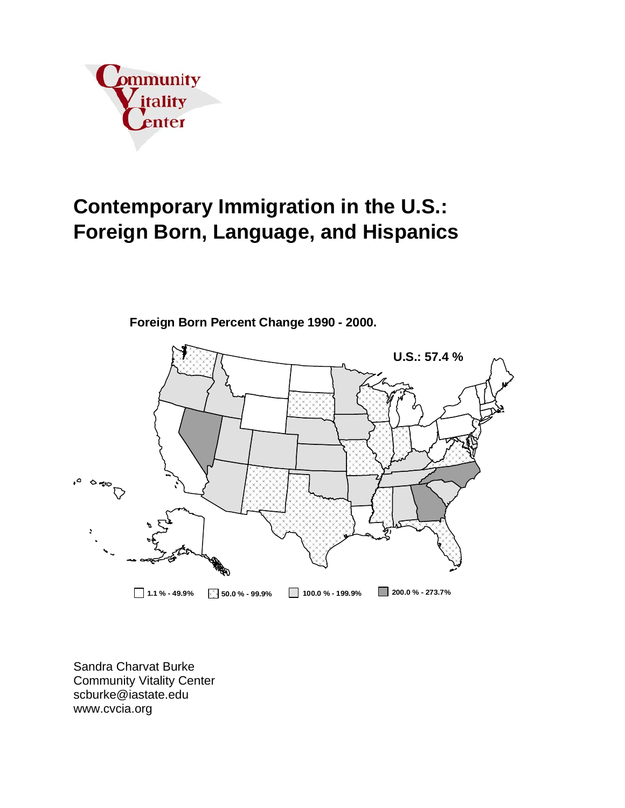

# **Contemporary Immigration in the U.S.: Foreign Born, Language, and Hispanics**



**Foreign Born Percent Change 1990 - 2000.**

Sandra Charvat Burke Community Vitality Center scburke@iastate.edu www.cvcia.org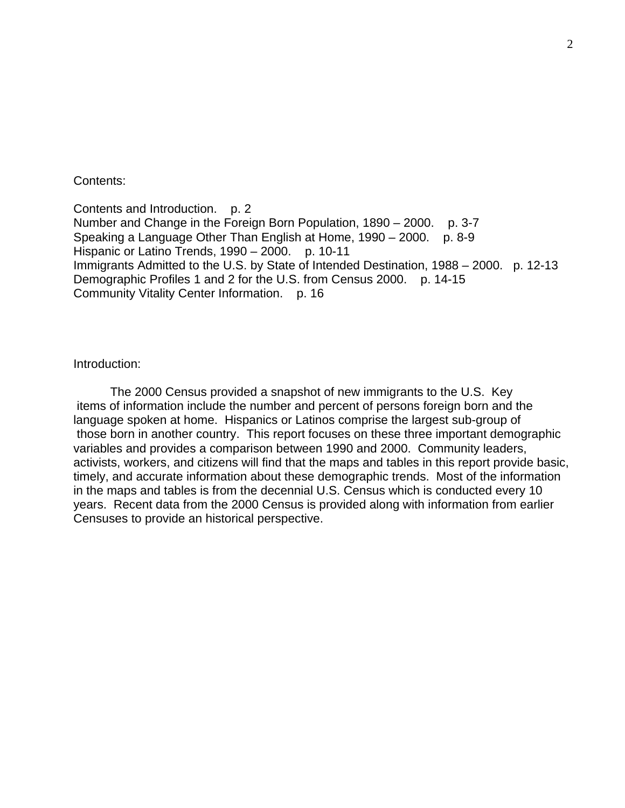#### Contents:

Contents and Introduction. p. 2 Number and Change in the Foreign Born Population, 1890 – 2000. p. 3-7 Speaking a Language Other Than English at Home, 1990 – 2000. p. 8-9 Hispanic or Latino Trends, 1990 – 2000. p. 10-11 Immigrants Admitted to the U.S. by State of Intended Destination, 1988 – 2000. p. 12-13 Demographic Profiles 1 and 2 for the U.S. from Census 2000. p. 14-15 Community Vitality Center Information. p. 16

### Introduction:

 The 2000 Census provided a snapshot of new immigrants to the U.S. Key items of information include the number and percent of persons foreign born and the language spoken at home. Hispanics or Latinos comprise the largest sub-group of those born in another country. This report focuses on these three important demographic variables and provides a comparison between 1990 and 2000. Community leaders, activists, workers, and citizens will find that the maps and tables in this report provide basic, timely, and accurate information about these demographic trends. Most of the information in the maps and tables is from the decennial U.S. Census which is conducted every 10 years. Recent data from the 2000 Census is provided along with information from earlier Censuses to provide an historical perspective.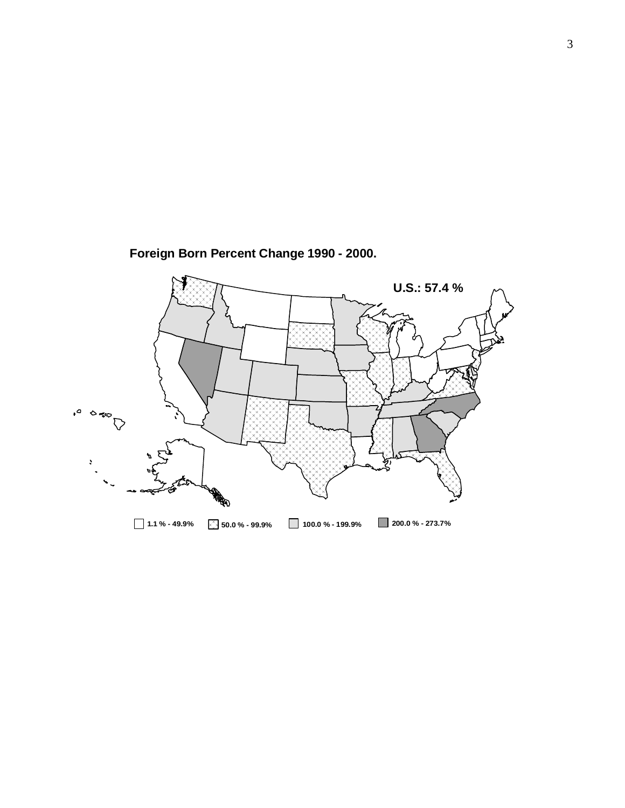

**Foreign Born Percent Change 1990 - 2000.**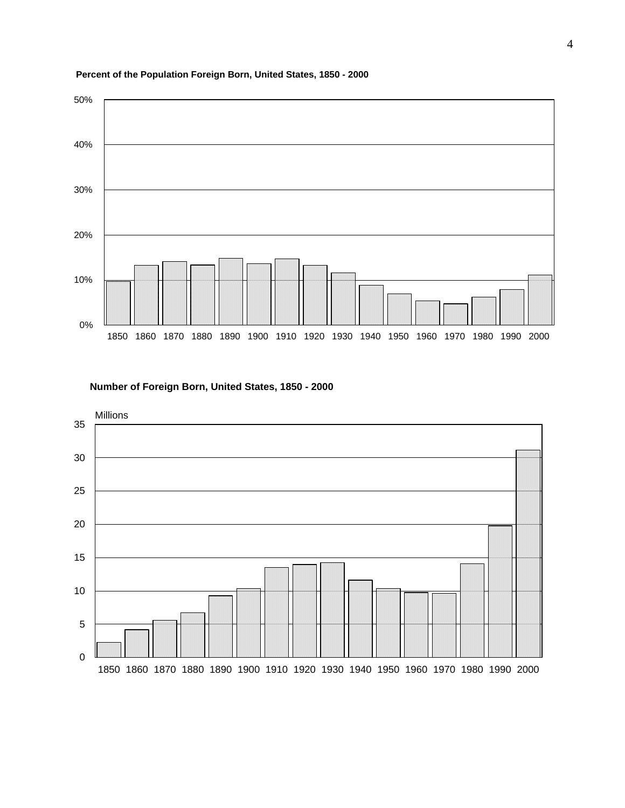

#### **Percent of the Population Foreign Born, United States, 1850 - 2000**

**Number of Foreign Born, United States, 1850 - 2000**

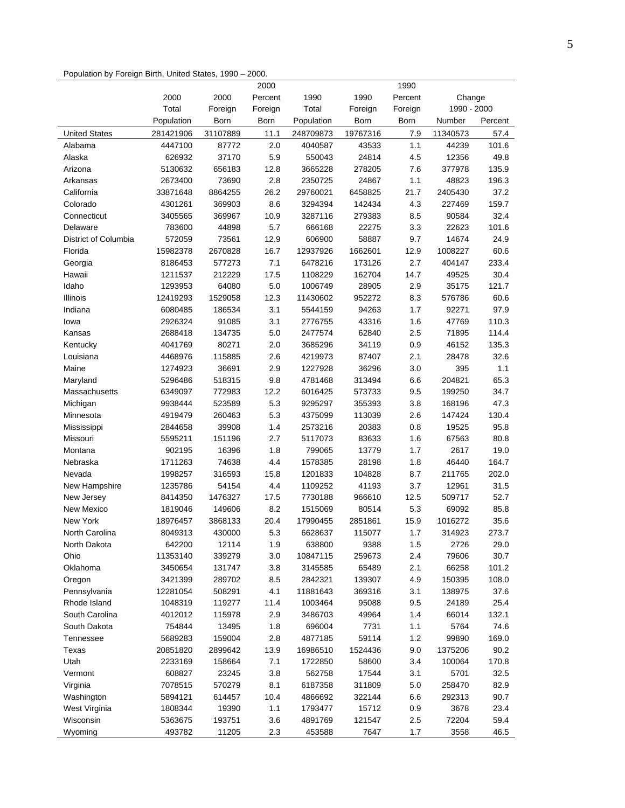#### Population by Foreign Birth, United States, 1990 – 2000.

|                      |            |          | 2000    |            |          | 1990    |             |         |
|----------------------|------------|----------|---------|------------|----------|---------|-------------|---------|
|                      | 2000       | 2000     | Percent | 1990       | 1990     | Percent | Change      |         |
|                      | Total      | Foreign  | Foreign | Total      | Foreign  | Foreign | 1990 - 2000 |         |
|                      | Population | Born     | Born    | Population | Born     | Born    | Number      | Percent |
| <b>United States</b> | 281421906  | 31107889 | 11.1    | 248709873  | 19767316 | 7.9     | 11340573    | 57.4    |
| Alabama              | 4447100    | 87772    | 2.0     | 4040587    | 43533    | 1.1     | 44239       | 101.6   |
| Alaska               | 626932     | 37170    | 5.9     | 550043     | 24814    | 4.5     | 12356       | 49.8    |
| Arizona              | 5130632    | 656183   | 12.8    | 3665228    | 278205   | 7.6     | 377978      | 135.9   |
| Arkansas             | 2673400    | 73690    | 2.8     | 2350725    | 24867    | 1.1     | 48823       | 196.3   |
| California           | 33871648   | 8864255  | 26.2    | 29760021   | 6458825  | 21.7    | 2405430     | 37.2    |
| Colorado             | 4301261    | 369903   | 8.6     | 3294394    | 142434   | 4.3     | 227469      | 159.7   |
| Connecticut          | 3405565    | 369967   | 10.9    | 3287116    | 279383   | 8.5     | 90584       | 32.4    |
| Delaware             | 783600     | 44898    | 5.7     | 666168     | 22275    | 3.3     | 22623       | 101.6   |
| District of Columbia | 572059     | 73561    | 12.9    | 606900     | 58887    | 9.7     | 14674       | 24.9    |
| Florida              | 15982378   | 2670828  | 16.7    | 12937926   | 1662601  | 12.9    | 1008227     | 60.6    |
| Georgia              | 8186453    | 577273   | 7.1     | 6478216    | 173126   | 2.7     | 404147      | 233.4   |
| Hawaii               | 1211537    | 212229   | 17.5    | 1108229    | 162704   | 14.7    | 49525       | 30.4    |
| Idaho                | 1293953    | 64080    | 5.0     | 1006749    | 28905    | 2.9     | 35175       | 121.7   |
| Illinois             | 12419293   | 1529058  | 12.3    | 11430602   | 952272   | 8.3     | 576786      | 60.6    |
| Indiana              | 6080485    | 186534   | 3.1     | 5544159    | 94263    | 1.7     | 92271       | 97.9    |
| lowa                 | 2926324    | 91085    | 3.1     | 2776755    | 43316    | 1.6     | 47769       | 110.3   |
| Kansas               | 2688418    | 134735   | 5.0     | 2477574    | 62840    | 2.5     | 71895       | 114.4   |
|                      |            |          | 2.0     |            |          |         |             |         |
| Kentucky             | 4041769    | 80271    |         | 3685296    | 34119    | 0.9     | 46152       | 135.3   |
| Louisiana            | 4468976    | 115885   | 2.6     | 4219973    | 87407    | 2.1     | 28478       | 32.6    |
| Maine                | 1274923    | 36691    | 2.9     | 1227928    | 36296    | 3.0     | 395         | 1.1     |
| Maryland             | 5296486    | 518315   | 9.8     | 4781468    | 313494   | 6.6     | 204821      | 65.3    |
| Massachusetts        | 6349097    | 772983   | 12.2    | 6016425    | 573733   | 9.5     | 199250      | 34.7    |
| Michigan             | 9938444    | 523589   | 5.3     | 9295297    | 355393   | 3.8     | 168196      | 47.3    |
| Minnesota            | 4919479    | 260463   | 5.3     | 4375099    | 113039   | 2.6     | 147424      | 130.4   |
| Mississippi          | 2844658    | 39908    | 1.4     | 2573216    | 20383    | 0.8     | 19525       | 95.8    |
| Missouri             | 5595211    | 151196   | 2.7     | 5117073    | 83633    | 1.6     | 67563       | 80.8    |
| Montana              | 902195     | 16396    | 1.8     | 799065     | 13779    | 1.7     | 2617        | 19.0    |
| Nebraska             | 1711263    | 74638    | 4.4     | 1578385    | 28198    | 1.8     | 46440       | 164.7   |
| Nevada               | 1998257    | 316593   | 15.8    | 1201833    | 104828   | 8.7     | 211765      | 202.0   |
| New Hampshire        | 1235786    | 54154    | 4.4     | 1109252    | 41193    | 3.7     | 12961       | 31.5    |
| New Jersey           | 8414350    | 1476327  | 17.5    | 7730188    | 966610   | 12.5    | 509717      | 52.7    |
| New Mexico           | 1819046    | 149606   | 8.2     | 1515069    | 80514    | 5.3     | 69092       | 85.8    |
| New York             | 18976457   | 3868133  | 20.4    | 17990455   | 2851861  | 15.9    | 1016272     | 35.6    |
| North Carolina       | 8049313    | 430000   | 5.3     | 6628637    | 115077   | 1.7     | 314923      | 273.7   |
| North Dakota         | 642200     | 12114    | 1.9     | 638800     | 9388     | 1.5     | 2726        | 29.0    |
| Ohio                 | 11353140   | 339279   | 3.0     | 10847115   | 259673   | 2.4     | 79606       | 30.7    |
| Oklahoma             | 3450654    | 131747   | 3.8     | 3145585    | 65489    | 2.1     | 66258       | 101.2   |
| Oregon               | 3421399    | 289702   | 8.5     | 2842321    | 139307   | 4.9     | 150395      | 108.0   |
| Pennsylvania         | 12281054   | 508291   | 4.1     | 11881643   | 369316   | 3.1     | 138975      | 37.6    |
| Rhode Island         | 1048319    | 119277   | 11.4    | 1003464    | 95088    | 9.5     | 24189       | 25.4    |
| South Carolina       | 4012012    | 115978   | 2.9     | 3486703    | 49964    | 1.4     | 66014       | 132.1   |
| South Dakota         | 754844     | 13495    | 1.8     | 696004     | 7731     | 1.1     | 5764        | 74.6    |
| Tennessee            | 5689283    | 159004   | 2.8     | 4877185    | 59114    | 1.2     | 99890       | 169.0   |
| Texas                | 20851820   | 2899642  | 13.9    | 16986510   | 1524436  | 9.0     | 1375206     | 90.2    |
| Utah                 | 2233169    | 158664   | 7.1     | 1722850    | 58600    | 3.4     | 100064      | 170.8   |
| Vermont              | 608827     | 23245    | 3.8     | 562758     | 17544    | 3.1     | 5701        | 32.5    |
| Virginia             | 7078515    | 570279   | 8.1     | 6187358    | 311809   | 5.0     | 258470      | 82.9    |
| Washington           | 5894121    | 614457   | 10.4    | 4866692    | 322144   | 6.6     | 292313      | 90.7    |
| West Virginia        | 1808344    | 19390    | 1.1     | 1793477    | 15712    | 0.9     | 3678        | 23.4    |
| Wisconsin            | 5363675    | 193751   | 3.6     | 4891769    | 121547   | 2.5     | 72204       | 59.4    |
| Wyoming              | 493782     | 11205    | 2.3     | 453588     | 7647     | 1.7     | 3558        | 46.5    |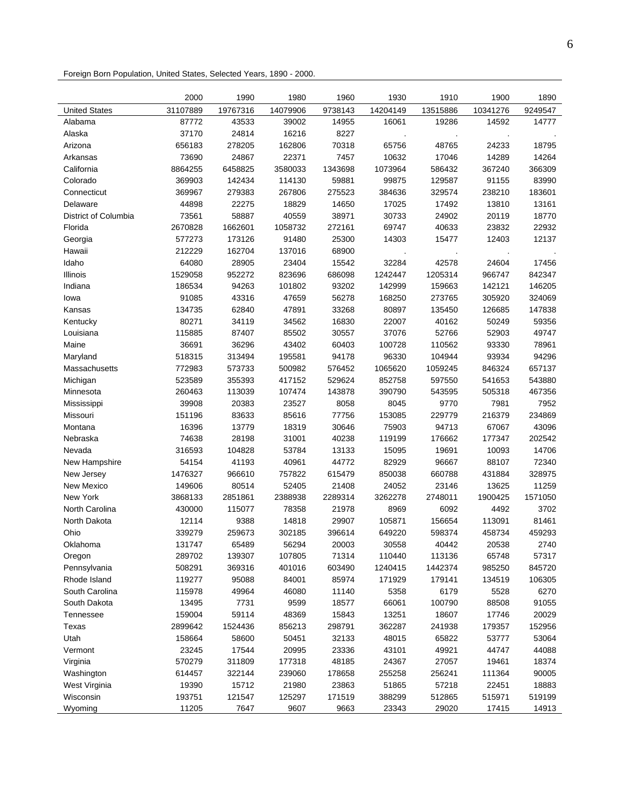Foreign Born Population, United States, Selected Years, 1890 - 2000.

|                      | 2000     | 1990     | 1980     | 1960    | 1930     | 1910     | 1900     | 1890    |
|----------------------|----------|----------|----------|---------|----------|----------|----------|---------|
| <b>United States</b> | 31107889 | 19767316 | 14079906 | 9738143 | 14204149 | 13515886 | 10341276 | 9249547 |
| Alabama              | 87772    | 43533    | 39002    | 14955   | 16061    | 19286    | 14592    | 14777   |
| Alaska               | 37170    | 24814    | 16216    | 8227    |          |          |          |         |
| Arizona              | 656183   | 278205   | 162806   | 70318   | 65756    | 48765    | 24233    | 18795   |
| Arkansas             | 73690    | 24867    | 22371    | 7457    | 10632    | 17046    | 14289    | 14264   |
| California           | 8864255  | 6458825  | 3580033  | 1343698 | 1073964  | 586432   | 367240   | 366309  |
| Colorado             | 369903   | 142434   | 114130   | 59881   | 99875    | 129587   | 91155    | 83990   |
| Connecticut          | 369967   | 279383   | 267806   | 275523  | 384636   | 329574   | 238210   | 183601  |
| Delaware             | 44898    | 22275    | 18829    | 14650   | 17025    | 17492    | 13810    | 13161   |
| District of Columbia | 73561    | 58887    | 40559    | 38971   | 30733    | 24902    | 20119    | 18770   |
| Florida              | 2670828  | 1662601  | 1058732  | 272161  | 69747    | 40633    | 23832    | 22932   |
| Georgia              | 577273   | 173126   | 91480    | 25300   | 14303    | 15477    | 12403    | 12137   |
| Hawaii               | 212229   | 162704   | 137016   | 68900   |          |          |          |         |
| Idaho                | 64080    | 28905    | 23404    | 15542   | 32284    | 42578    | 24604    | 17456   |
| Illinois             | 1529058  | 952272   | 823696   | 686098  | 1242447  | 1205314  | 966747   | 842347  |
| Indiana              | 186534   | 94263    | 101802   | 93202   | 142999   | 159663   | 142121   | 146205  |
| lowa                 | 91085    | 43316    | 47659    | 56278   | 168250   | 273765   | 305920   | 324069  |
| Kansas               | 134735   | 62840    | 47891    | 33268   | 80897    | 135450   | 126685   | 147838  |
| Kentucky             | 80271    | 34119    | 34562    | 16830   | 22007    | 40162    | 50249    | 59356   |
| Louisiana            | 115885   | 87407    | 85502    | 30557   | 37076    | 52766    | 52903    | 49747   |
| Maine                | 36691    | 36296    | 43402    | 60403   | 100728   | 110562   | 93330    | 78961   |
| Maryland             | 518315   | 313494   | 195581   | 94178   | 96330    | 104944   | 93934    | 94296   |
| Massachusetts        | 772983   | 573733   | 500982   | 576452  | 1065620  | 1059245  | 846324   | 657137  |
| Michigan             | 523589   | 355393   | 417152   | 529624  | 852758   | 597550   | 541653   | 543880  |
| Minnesota            | 260463   | 113039   | 107474   | 143878  | 390790   | 543595   | 505318   | 467356  |
| Mississippi          | 39908    | 20383    | 23527    | 8058    | 8045     | 9770     | 7981     | 7952    |
| Missouri             | 151196   | 83633    | 85616    | 77756   | 153085   | 229779   | 216379   | 234869  |
| Montana              | 16396    | 13779    | 18319    | 30646   | 75903    | 94713    | 67067    | 43096   |
| Nebraska             | 74638    | 28198    | 31001    | 40238   | 119199   | 176662   | 177347   | 202542  |
| Nevada               | 316593   | 104828   | 53784    | 13133   | 15095    | 19691    | 10093    | 14706   |
| New Hampshire        | 54154    | 41193    | 40961    | 44772   | 82929    | 96667    | 88107    | 72340   |
| New Jersey           | 1476327  | 966610   | 757822   | 615479  | 850038   | 660788   | 431884   | 328975  |
| New Mexico           | 149606   | 80514    | 52405    | 21408   | 24052    | 23146    | 13625    | 11259   |
| New York             | 3868133  | 2851861  | 2388938  | 2289314 | 3262278  | 2748011  | 1900425  | 1571050 |
| North Carolina       | 430000   | 115077   | 78358    | 21978   | 8969     | 6092     | 4492     | 3702    |
| North Dakota         | 12114    | 9388     | 14818    | 29907   | 105871   | 156654   | 113091   | 81461   |
| Ohio                 | 339279   | 259673   | 302185   | 396614  | 649220   | 598374   | 458734   | 459293  |
| Oklahoma             | 131747   | 65489    | 56294    | 20003   | 30558    | 40442    | 20538    | 2740    |
| Oregon               | 289702   | 139307   | 107805   | 71314   | 110440   | 113136   | 65748    | 57317   |
| Pennsylvania         | 508291   | 369316   | 401016   | 603490  | 1240415  | 1442374  | 985250   | 845720  |
| Rhode Island         | 119277   | 95088    | 84001    | 85974   | 171929   | 179141   | 134519   | 106305  |
| South Carolina       | 115978   | 49964    | 46080    | 11140   | 5358     | 6179     | 5528     | 6270    |
| South Dakota         | 13495    | 7731     | 9599     | 18577   | 66061    | 100790   | 88508    | 91055   |
| Tennessee            | 159004   | 59114    | 48369    | 15843   | 13251    | 18607    | 17746    | 20029   |
| Texas                | 2899642  | 1524436  | 856213   | 298791  | 362287   | 241938   | 179357   | 152956  |
| Utah                 | 158664   | 58600    | 50451    | 32133   | 48015    | 65822    | 53777    | 53064   |
| Vermont              | 23245    | 17544    | 20995    | 23336   | 43101    | 49921    | 44747    | 44088   |
| Virginia             | 570279   | 311809   | 177318   | 48185   | 24367    | 27057    | 19461    | 18374   |
| Washington           | 614457   | 322144   | 239060   | 178658  | 255258   | 256241   | 111364   | 90005   |
| West Virginia        | 19390    | 15712    | 21980    | 23863   | 51865    | 57218    | 22451    | 18883   |
| Wisconsin            | 193751   | 121547   | 125297   | 171519  | 388299   | 512865   | 515971   | 519199  |
| Wyoming              | 11205    | 7647     | 9607     | 9663    | 23343    | 29020    | 17415    | 14913   |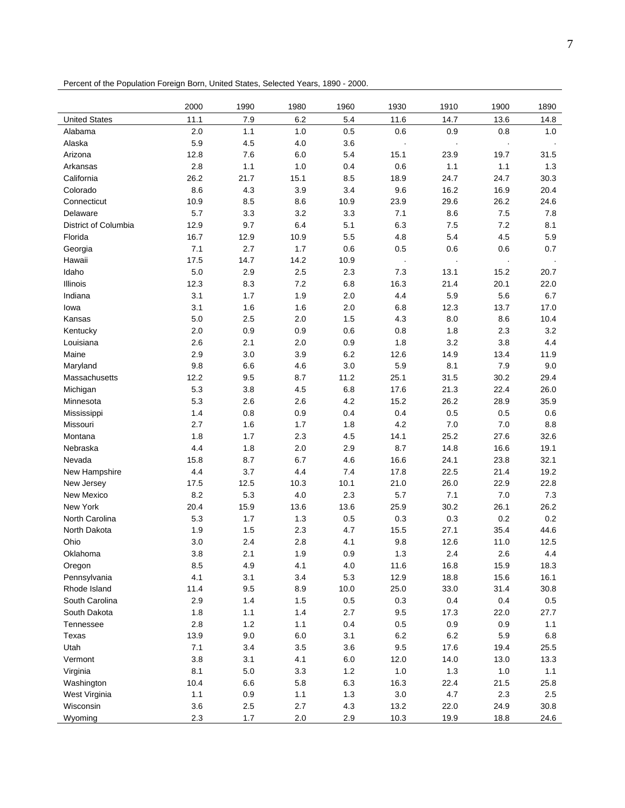Percent of the Population Foreign Born, United States, Selected Years, 1890 - 2000.

|                      | 2000    | 1990    | 1980 | 1960    | 1930    | 1910    | 1900    | 1890    |
|----------------------|---------|---------|------|---------|---------|---------|---------|---------|
| <b>United States</b> | 11.1    | 7.9     | 6.2  | 5.4     | 11.6    | 14.7    | 13.6    | 14.8    |
| Alabama              | 2.0     | 1.1     | 1.0  | 0.5     | 0.6     | 0.9     | 0.8     | 1.0     |
| Alaska               | 5.9     | 4.5     | 4.0  | 3.6     |         |         | $\cdot$ |         |
| Arizona              | 12.8    | 7.6     | 6.0  | 5.4     | 15.1    | 23.9    | 19.7    | 31.5    |
| Arkansas             | 2.8     | 1.1     | 1.0  | 0.4     | 0.6     | 1.1     | 1.1     | 1.3     |
| California           | 26.2    | 21.7    | 15.1 | 8.5     | 18.9    | 24.7    | 24.7    | 30.3    |
| Colorado             | 8.6     | 4.3     | 3.9  | 3.4     | 9.6     | 16.2    | 16.9    | 20.4    |
| Connecticut          | 10.9    | 8.5     | 8.6  | 10.9    | 23.9    | 29.6    | 26.2    | 24.6    |
| Delaware             | 5.7     | 3.3     | 3.2  | 3.3     | 7.1     | 8.6     | 7.5     | 7.8     |
| District of Columbia | 12.9    | 9.7     | 6.4  | 5.1     | 6.3     | 7.5     | 7.2     | 8.1     |
| Florida              | 16.7    | 12.9    | 10.9 | 5.5     | 4.8     | 5.4     | 4.5     | 5.9     |
| Georgia              | 7.1     | 2.7     | 1.7  | 0.6     | 0.5     | 0.6     | 0.6     | 0.7     |
| Hawaii               | 17.5    | 14.7    | 14.2 | 10.9    | $\cdot$ | ÷,      | $\cdot$ |         |
| Idaho                | 5.0     | 2.9     | 2.5  | 2.3     | 7.3     | 13.1    | 15.2    | 20.7    |
| Illinois             | 12.3    | 8.3     | 7.2  | 6.8     | 16.3    | 21.4    | 20.1    | 22.0    |
| Indiana              | 3.1     | 1.7     | 1.9  | 2.0     | 4.4     | 5.9     | 5.6     | 6.7     |
| lowa                 | 3.1     | 1.6     | 1.6  | 2.0     | 6.8     | 12.3    | 13.7    | 17.0    |
| Kansas               | 5.0     | 2.5     | 2.0  | 1.5     | 4.3     | 8.0     | 8.6     | 10.4    |
| Kentucky             | 2.0     | 0.9     | 0.9  | 0.6     | 0.8     | 1.8     | 2.3     | 3.2     |
| Louisiana            | 2.6     | 2.1     | 2.0  | 0.9     | 1.8     | 3.2     | 3.8     | 4.4     |
| Maine                | 2.9     | 3.0     | 3.9  | 6.2     | 12.6    | 14.9    | 13.4    | 11.9    |
| Maryland             | 9.8     | 6.6     | 4.6  | 3.0     | 5.9     | 8.1     | 7.9     | 9.0     |
| Massachusetts        | 12.2    | 9.5     | 8.7  | 11.2    | 25.1    | 31.5    | 30.2    | 29.4    |
| Michigan             | 5.3     | 3.8     | 4.5  | 6.8     | 17.6    | 21.3    | 22.4    | 26.0    |
| Minnesota            | 5.3     | 2.6     | 2.6  | 4.2     | 15.2    | 26.2    | 28.9    | 35.9    |
| Mississippi          | 1.4     | 0.8     | 0.9  | 0.4     | 0.4     | 0.5     | 0.5     | 0.6     |
| Missouri             | 2.7     | 1.6     | 1.7  | 1.8     | 4.2     | 7.0     | 7.0     | 8.8     |
| Montana              | 1.8     | 1.7     | 2.3  | 4.5     | 14.1    | 25.2    | 27.6    | 32.6    |
| Nebraska             | 4.4     | 1.8     | 2.0  | 2.9     | 8.7     | 14.8    | 16.6    | 19.1    |
| Nevada               | 15.8    | 8.7     | 6.7  | 4.6     | 16.6    | 24.1    | 23.8    | 32.1    |
| New Hampshire        | 4.4     | 3.7     | 4.4  | 7.4     | 17.8    | 22.5    | 21.4    | 19.2    |
| New Jersey           | 17.5    | 12.5    | 10.3 | 10.1    | 21.0    | 26.0    | 22.9    | 22.8    |
| <b>New Mexico</b>    | 8.2     | 5.3     | 4.0  | 2.3     | 5.7     | 7.1     | 7.0     | 7.3     |
| New York             | 20.4    | 15.9    | 13.6 | 13.6    | 25.9    | 30.2    | 26.1    | 26.2    |
| North Carolina       | 5.3     | 1.7     | 1.3  | 0.5     | 0.3     | 0.3     | 0.2     | 0.2     |
| North Dakota         | 1.9     | 1.5     | 2.3  | 4.7     | 15.5    | 27.1    | 35.4    | 44.6    |
| Ohio                 | 3.0     | 2.4     | 2.8  | 4.1     | 9.8     | 12.6    | 11.0    | 12.5    |
| Oklahoma             | $3.8\,$ | 2.1     | 1.9  | 0.9     | 1.3     | 2.4     | 2.6     | 4.4     |
| Oregon               | 8.5     | 4.9     | 4.1  | 4.0     | 11.6    | 16.8    | 15.9    | 18.3    |
| Pennsylvania         | 4.1     | 3.1     | 3.4  | 5.3     | 12.9    | 18.8    | 15.6    | 16.1    |
| Rhode Island         | 11.4    | 9.5     | 8.9  | 10.0    | 25.0    | 33.0    | 31.4    | 30.8    |
| South Carolina       | 2.9     | 1.4     | 1.5  | $0.5\,$ | $0.3\,$ | 0.4     | 0.4     | $0.5\,$ |
| South Dakota         | 1.8     | 1.1     | 1.4  | 2.7     | 9.5     | 17.3    | 22.0    | 27.7    |
| Tennessee            | 2.8     | 1.2     | 1.1  | 0.4     | 0.5     | 0.9     | 0.9     | 1.1     |
| Texas                | 13.9    | 9.0     | 6.0  | 3.1     | 6.2     | $6.2\,$ | 5.9     | 6.8     |
| Utah                 | 7.1     | 3.4     | 3.5  | 3.6     | 9.5     | 17.6    | 19.4    | 25.5    |
| Vermont              | 3.8     | 3.1     | 4.1  | $6.0\,$ | 12.0    | 14.0    | 13.0    | 13.3    |
| Virginia             | 8.1     | $5.0\,$ | 3.3  | $1.2$   | $1.0$   | $1.3$   | $1.0$   | 1.1     |
| Washington           | 10.4    | 6.6     | 5.8  | 6.3     | 16.3    | 22.4    | 21.5    | 25.8    |
| West Virginia        | 1.1     | 0.9     | 1.1  | $1.3$   | $3.0\,$ | 4.7     | 2.3     | 2.5     |
| Wisconsin            | 3.6     | 2.5     | 2.7  | 4.3     | 13.2    | 22.0    | 24.9    | 30.8    |
| Wyoming              | 2.3     | 1.7     | 2.0  | 2.9     | 10.3    | 19.9    | 18.8    | 24.6    |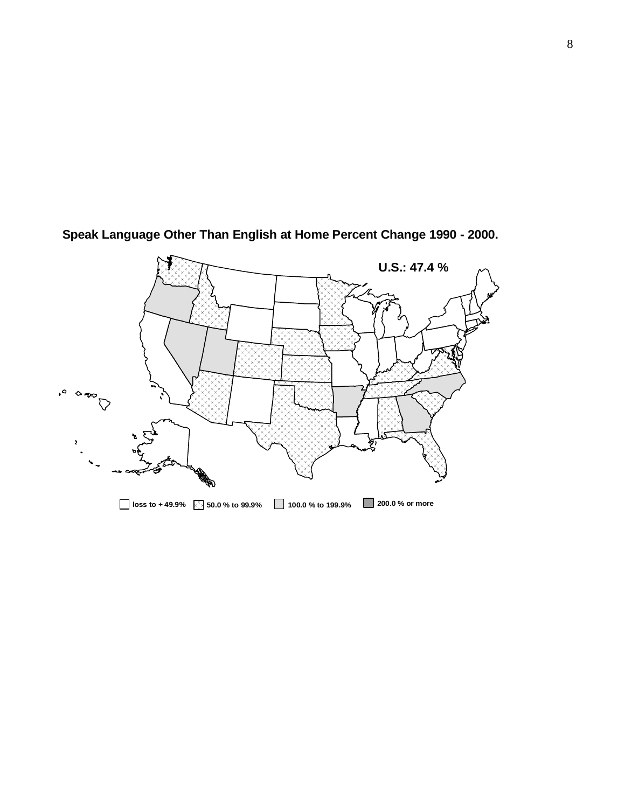

**Speak Language Other Than English at Home Percent Change 1990 - 2000.**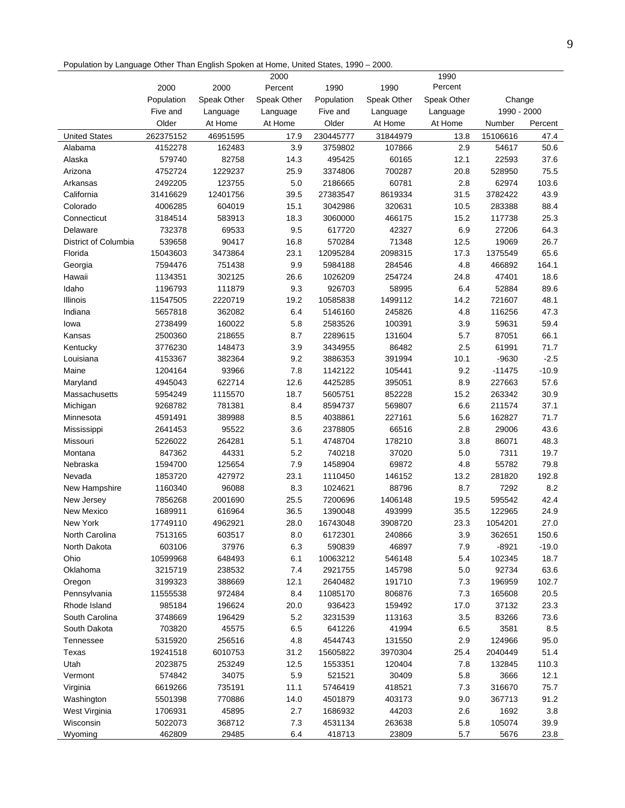Population by Language Other Than English Spoken at Home, United States, 1990 – 2000.

|                      |            |             | 2000        |            |             | 1990        |             |         |
|----------------------|------------|-------------|-------------|------------|-------------|-------------|-------------|---------|
|                      | 2000       | 2000        | Percent     | 1990       | 1990        | Percent     |             |         |
|                      | Population | Speak Other | Speak Other | Population | Speak Other | Speak Other | Change      |         |
|                      | Five and   | Language    | Language    | Five and   | Language    | Language    | 1990 - 2000 |         |
|                      | Older      | At Home     | At Home     | Older      | At Home     | At Home     | Number      | Percent |
| <b>United States</b> | 262375152  | 46951595    | 17.9        | 230445777  | 31844979    | 13.8        | 15106616    | 47.4    |
| Alabama              | 4152278    | 162483      | 3.9         | 3759802    | 107866      | 2.9         | 54617       | 50.6    |
| Alaska               | 579740     | 82758       | 14.3        | 495425     | 60165       | 12.1        | 22593       | 37.6    |
| Arizona              | 4752724    | 1229237     | 25.9        | 3374806    | 700287      | 20.8        | 528950      | 75.5    |
| Arkansas             | 2492205    | 123755      | 5.0         | 2186665    | 60781       | 2.8         | 62974       | 103.6   |
| California           | 31416629   | 12401756    | 39.5        | 27383547   | 8619334     | 31.5        | 3782422     | 43.9    |
| Colorado             | 4006285    | 604019      | 15.1        | 3042986    | 320631      | 10.5        | 283388      | 88.4    |
| Connecticut          | 3184514    | 583913      | 18.3        | 3060000    | 466175      | 15.2        | 117738      | 25.3    |
| Delaware             | 732378     | 69533       | 9.5         | 617720     | 42327       | 6.9         | 27206       | 64.3    |
| District of Columbia | 539658     | 90417       | 16.8        | 570284     | 71348       | 12.5        | 19069       | 26.7    |
| Florida              | 15043603   | 3473864     | 23.1        | 12095284   | 2098315     | 17.3        | 1375549     | 65.6    |
| Georgia              | 7594476    | 751438      | 9.9         | 5984188    | 284546      | 4.8         | 466892      | 164.1   |
| Hawaii               | 1134351    | 302125      | 26.6        | 1026209    | 254724      | 24.8        | 47401       | 18.6    |
| Idaho                | 1196793    | 111879      | 9.3         | 926703     | 58995       | 6.4         | 52884       | 89.6    |
| Illinois             | 11547505   | 2220719     | 19.2        | 10585838   | 1499112     | 14.2        | 721607      | 48.1    |
| Indiana              | 5657818    | 362082      | 6.4         | 5146160    | 245826      | 4.8         | 116256      | 47.3    |
| lowa                 | 2738499    | 160022      | 5.8         | 2583526    | 100391      | 3.9         | 59631       | 59.4    |
| Kansas               | 2500360    | 218655      | 8.7         | 2289615    | 131604      | 5.7         | 87051       | 66.1    |
| Kentucky             | 3776230    | 148473      | 3.9         | 3434955    | 86482       | 2.5         | 61991       | 71.7    |
| Louisiana            | 4153367    | 382364      | 9.2         | 3886353    | 391994      | 10.1        | $-9630$     | $-2.5$  |
| Maine                | 1204164    | 93966       | 7.8         | 1142122    | 105441      | 9.2         | $-11475$    | $-10.9$ |
| Maryland             | 4945043    | 622714      | 12.6        | 4425285    | 395051      | 8.9         | 227663      | 57.6    |
| Massachusetts        | 5954249    | 1115570     | 18.7        | 5605751    | 852228      | 15.2        | 263342      | 30.9    |
| Michigan             | 9268782    | 781381      | 8.4         | 8594737    | 569807      | 6.6         | 211574      | 37.1    |
| Minnesota            | 4591491    | 389988      | 8.5         | 4038861    | 227161      | 5.6         | 162827      | 71.7    |
| Mississippi          | 2641453    | 95522       | 3.6         | 2378805    | 66516       | 2.8         | 29006       | 43.6    |
| Missouri             | 5226022    | 264281      | 5.1         | 4748704    | 178210      | 3.8         | 86071       | 48.3    |
| Montana              | 847362     | 44331       | 5.2         | 740218     | 37020       | 5.0         | 7311        | 19.7    |
| Nebraska             | 1594700    | 125654      | 7.9         | 1458904    | 69872       | 4.8         | 55782       | 79.8    |
| Nevada               | 1853720    | 427972      | 23.1        | 1110450    | 146152      | 13.2        | 281820      | 192.8   |
| New Hampshire        | 1160340    | 96088       | 8.3         | 1024621    | 88796       | 8.7         | 7292        | 8.2     |
| New Jersey           | 7856268    | 2001690     | 25.5        | 7200696    | 1406148     | 19.5        | 595542      | 42.4    |
| New Mexico           | 1689911    | 616964      | 36.5        | 1390048    | 493999      | 35.5        | 122965      | 24.9    |
| New York             | 17749110   | 4962921     | 28.0        | 16743048   | 3908720     | 23.3        | 1054201     | 27.0    |
| North Carolina       | 7513165    | 603517      | 8.0         | 6172301    | 240866      | 3.9         | 362651      | 150.6   |
| North Dakota         | 603106     | 37976       | 6.3         | 590839     | 46897       | 7.9         | $-8921$     | $-19.0$ |
| Ohio                 | 10599968   | 648493      | 6.1         | 10063212   | 546148      | 5.4         | 102345      | 18.7    |
| Oklahoma             | 3215719    | 238532      | 7.4         | 2921755    | 145798      | 5.0         | 92734       | 63.6    |
| Oregon               | 3199323    | 388669      | 12.1        | 2640482    | 191710      | 7.3         | 196959      | 102.7   |
| Pennsylvania         | 11555538   | 972484      | 8.4         | 11085170   | 806876      | 7.3         | 165608      | 20.5    |
| Rhode Island         | 985184     | 196624      | 20.0        | 936423     | 159492      | 17.0        | 37132       | 23.3    |
| South Carolina       | 3748669    | 196429      | 5.2         | 3231539    | 113163      | 3.5         | 83266       | 73.6    |
| South Dakota         | 703820     | 45575       | 6.5         | 641226     | 41994       | 6.5         | 3581        | 8.5     |
| Tennessee            | 5315920    | 256516      | 4.8         | 4544743    | 131550      | 2.9         | 124966      | 95.0    |
| Texas                | 19241518   | 6010753     | 31.2        | 15605822   | 3970304     | 25.4        | 2040449     | 51.4    |
| Utah                 | 2023875    | 253249      | 12.5        | 1553351    | 120404      | 7.8         | 132845      | 110.3   |
| Vermont              | 574842     | 34075       | 5.9         | 521521     | 30409       | 5.8         | 3666        | 12.1    |
| Virginia             | 6619266    | 735191      | 11.1        | 5746419    | 418521      | 7.3         | 316670      | 75.7    |
| Washington           | 5501398    | 770886      | 14.0        | 4501879    | 403173      | 9.0         | 367713      | 91.2    |
| West Virginia        | 1706931    | 45895       | 2.7         | 1686932    | 44203       | 2.6         | 1692        | 3.8     |
| Wisconsin            | 5022073    | 368712      | 7.3         | 4531134    | 263638      | 5.8         | 105074      | 39.9    |
| Wyoming              | 462809     | 29485       | 6.4         | 418713     | 23809       | 5.7         | 5676        | 23.8    |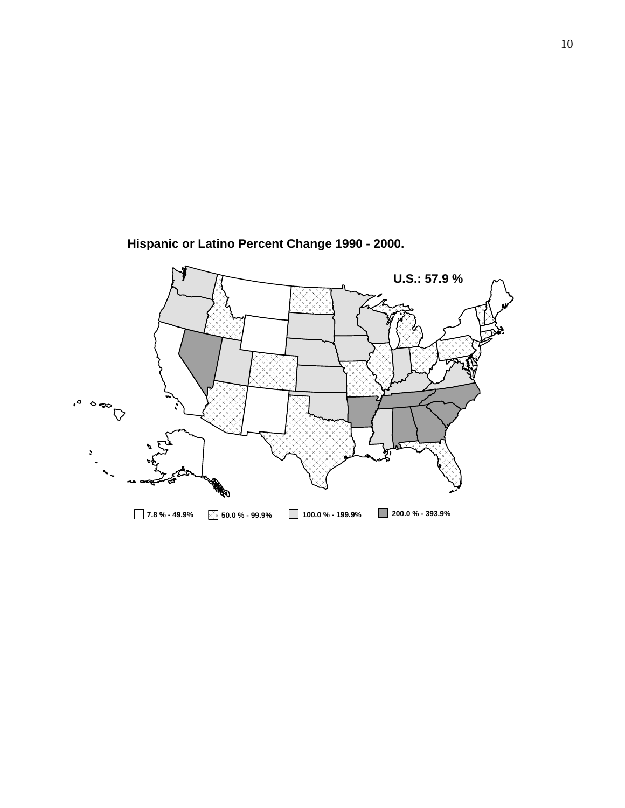

**Hispanic or Latino Percent Change 1990 - 2000.**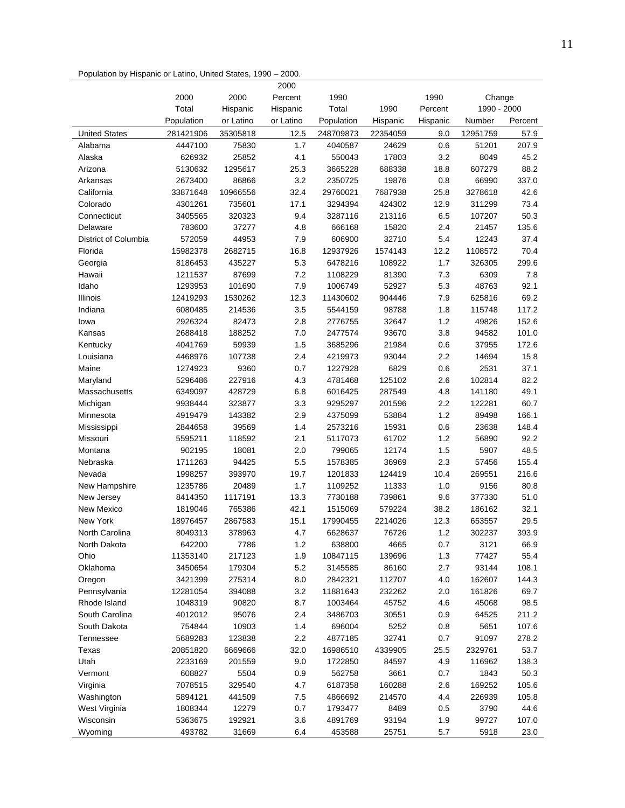| Population by Hispanic or Latino, United States, 1990 - 2000. |  |  |  |  |
|---------------------------------------------------------------|--|--|--|--|
|---------------------------------------------------------------|--|--|--|--|

|                      |                     |           | 2000      |                     |          |          |             |         |
|----------------------|---------------------|-----------|-----------|---------------------|----------|----------|-------------|---------|
|                      | 2000                | 2000      | Percent   | 1990                |          | 1990     | Change      |         |
|                      | Total               | Hispanic  | Hispanic  | Total               | 1990     | Percent  | 1990 - 2000 |         |
|                      | Population          | or Latino | or Latino | Population          | Hispanic | Hispanic | Number      | Percent |
| <b>United States</b> | 281421906           | 35305818  | 12.5      | 248709873           | 22354059 | 9.0      | 12951759    | 57.9    |
| Alabama              | 4447100             | 75830     | 1.7       | 4040587             | 24629    | 0.6      | 51201       | 207.9   |
| Alaska               | 626932              | 25852     | 4.1       | 550043              | 17803    | 3.2      | 8049        | 45.2    |
| Arizona              | 5130632             | 1295617   | 25.3      | 3665228             | 688338   | 18.8     | 607279      | 88.2    |
| Arkansas             | 2673400             | 86866     | 3.2       | 2350725             | 19876    | 0.8      | 66990       | 337.0   |
| California           | 33871648            | 10966556  | 32.4      | 29760021            | 7687938  | 25.8     | 3278618     | 42.6    |
| Colorado             | 4301261             | 735601    | 17.1      | 3294394             | 424302   | 12.9     | 311299      | 73.4    |
| Connecticut          | 3405565             | 320323    | 9.4       | 3287116             | 213116   | 6.5      | 107207      | 50.3    |
| Delaware             | 783600              | 37277     | 4.8       | 666168              | 15820    | 2.4      | 21457       | 135.6   |
| District of Columbia | 572059              | 44953     | 7.9       | 606900              | 32710    | 5.4      | 12243       | 37.4    |
| Florida              | 15982378            | 2682715   | 16.8      | 12937926            | 1574143  | 12.2     | 1108572     | 70.4    |
| Georgia              | 8186453             | 435227    | 5.3       | 6478216             | 108922   | 1.7      | 326305      | 299.6   |
| Hawaii               | 1211537             | 87699     | 7.2       | 1108229             | 81390    | 7.3      | 6309        | 7.8     |
| Idaho                | 1293953             | 101690    | 7.9       | 1006749             | 52927    | 5.3      | 48763       | 92.1    |
| Illinois             | 12419293            | 1530262   | 12.3      | 11430602            | 904446   | 7.9      | 625816      | 69.2    |
| Indiana              | 6080485             | 214536    | 3.5       | 5544159             | 98788    | 1.8      | 115748      | 117.2   |
| lowa                 | 2926324             | 82473     | 2.8       | 2776755             | 32647    | 1.2      | 49826       | 152.6   |
| Kansas               | 2688418             | 188252    | 7.0       | 2477574             | 93670    | 3.8      | 94582       | 101.0   |
| Kentucky             | 4041769             | 59939     | 1.5       | 3685296             | 21984    | 0.6      | 37955       | 172.6   |
| Louisiana            | 4468976             | 107738    | 2.4       | 4219973             | 93044    | 2.2      | 14694       | 15.8    |
| Maine                | 1274923             | 9360      | 0.7       | 1227928             | 6829     | 0.6      | 2531        | 37.1    |
| Maryland             | 5296486             | 227916    | 4.3       | 4781468             | 125102   | 2.6      | 102814      | 82.2    |
| Massachusetts        | 6349097             | 428729    | 6.8       | 6016425             | 287549   | 4.8      | 141180      | 49.1    |
| Michigan             | 9938444             | 323877    | 3.3       | 9295297             | 201596   | 2.2      | 122281      | 60.7    |
| Minnesota            | 4919479             | 143382    | 2.9       | 4375099             | 53884    | 1.2      | 89498       | 166.1   |
| Mississippi          | 2844658             | 39569     | 1.4       | 2573216             | 15931    | 0.6      | 23638       | 148.4   |
| Missouri             | 5595211             | 118592    | 2.1       | 5117073             | 61702    | 1.2      | 56890       | 92.2    |
| Montana              | 902195              | 18081     | 2.0       | 799065              | 12174    | 1.5      | 5907        | 48.5    |
| Nebraska             | 1711263             | 94425     | 5.5       | 1578385             | 36969    | 2.3      | 57456       | 155.4   |
| Nevada               | 1998257             | 393970    | 19.7      | 1201833             | 124419   | 10.4     | 269551      | 216.6   |
| New Hampshire        | 1235786             | 20489     | 1.7       | 1109252             | 11333    | 1.0      | 9156        | 80.8    |
| New Jersey           | 8414350             | 1117191   | 13.3      | 7730188             | 739861   | 9.6      | 377330      | 51.0    |
| <b>New Mexico</b>    | 1819046             | 765386    | 42.1      | 1515069             | 579224   | 38.2     | 186162      | 32.1    |
| New York             | 18976457            | 2867583   | 15.1      | 17990455            | 2214026  | 12.3     | 653557      | 29.5    |
| North Carolina       | 8049313             | 378963    | 4.7       | 6628637             | 76726    | 1.2      | 302237      | 393.9   |
| North Dakota         | 642200              | 7786      | $1.2$     | 638800              | 4665     | 0.7      | 3121        | 66.9    |
| Ohio                 | 11353140            | 217123    | 1.9       | 10847115            | 139696   | 1.3      | 77427       | 55.4    |
| Oklahoma             | 3450654             | 179304    | 5.2       | 3145585             | 86160    | 2.7      | 93144       | 108.1   |
| Oregon               | 3421399             | 275314    | 8.0       | 2842321             | 112707   | 4.0      | 162607      | 144.3   |
| Pennsylvania         | 12281054            | 394088    | 3.2       | 11881643            | 232262   | 2.0      | 161826      | 69.7    |
| Rhode Island         | 1048319             | 90820     | 8.7       | 1003464             | 45752    | 4.6      | 45068       | 98.5    |
| South Carolina       | 4012012             | 95076     | 2.4       | 3486703             | 30551    | 0.9      | 64525       | 211.2   |
| South Dakota         | 754844              | 10903     | 1.4       | 696004              | 5252     | 0.8      | 5651        | 107.6   |
|                      |                     | 123838    | 2.2       |                     | 32741    | 0.7      | 91097       | 278.2   |
| Tennessee<br>Texas   | 5689283<br>20851820 | 6669666   | 32.0      | 4877185<br>16986510 | 4339905  | 25.5     | 2329761     | 53.7    |
|                      |                     |           |           |                     |          |          |             |         |
| Utah                 | 2233169             | 201559    | 9.0       | 1722850             | 84597    | 4.9      | 116962      | 138.3   |
| Vermont              | 608827              | 5504      | 0.9       | 562758              | 3661     | 0.7      | 1843        | 50.3    |
| Virginia             | 7078515             | 329540    | 4.7       | 6187358             | 160288   | 2.6      | 169252      | 105.6   |
| Washington           | 5894121             | 441509    | 7.5       | 4866692             | 214570   | 4.4      | 226939      | 105.8   |
| West Virginia        | 1808344             | 12279     | 0.7       | 1793477             | 8489     | 0.5      | 3790        | 44.6    |
| Wisconsin            | 5363675             | 192921    | 3.6       | 4891769             | 93194    | 1.9      | 99727       | 107.0   |
| Wyoming              | 493782              | 31669     | 6.4       | 453588              | 25751    | 5.7      | 5918        | 23.0    |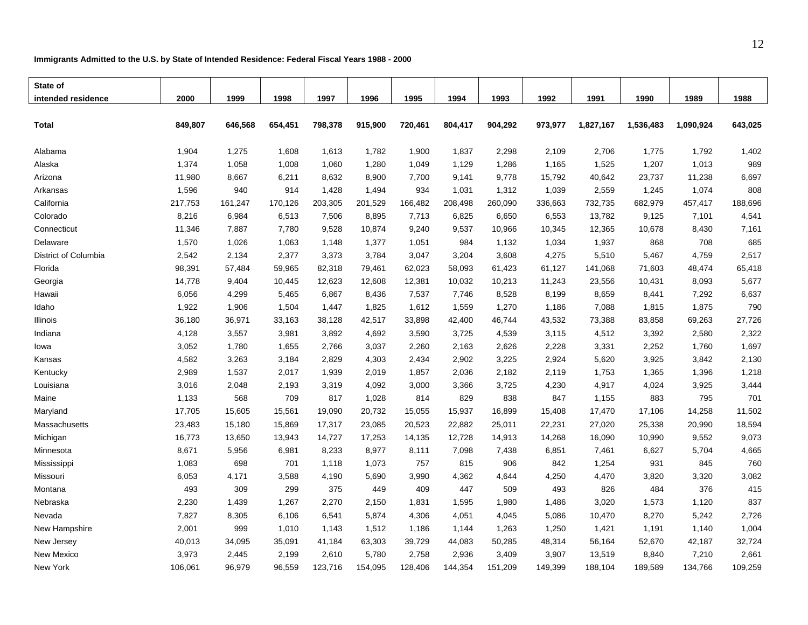#### **Immigrants Admitted to the U.S. by State of Intended Residence: Federal Fiscal Years 1988 - 2000**

| State of             |         |         |         |         |         |         |         |         |         |           |           |           |         |
|----------------------|---------|---------|---------|---------|---------|---------|---------|---------|---------|-----------|-----------|-----------|---------|
| intended residence   | 2000    | 1999    | 1998    | 1997    | 1996    | 1995    | 1994    | 1993    | 1992    | 1991      | 1990      | 1989      | 1988    |
|                      |         |         |         |         |         |         |         |         |         |           |           |           |         |
| <b>Total</b>         | 849,807 | 646,568 | 654,451 | 798,378 | 915,900 | 720,461 | 804,417 | 904,292 | 973,977 | 1,827,167 | 1,536,483 | 1,090,924 | 643,025 |
|                      |         |         |         |         |         |         |         |         |         |           |           |           |         |
| Alabama              | 1,904   | 1,275   | 1,608   | 1,613   | 1,782   | 1,900   | 1,837   | 2,298   | 2,109   | 2,706     | 1,775     | 1,792     | 1,402   |
| Alaska               | 1,374   | 1,058   | 1,008   | 1,060   | 1,280   | 1,049   | 1,129   | 1,286   | 1,165   | 1,525     | 1,207     | 1,013     | 989     |
| Arizona              | 11,980  | 8,667   | 6,211   | 8,632   | 8,900   | 7,700   | 9,141   | 9,778   | 15,792  | 40,642    | 23,737    | 11,238    | 6,697   |
| Arkansas             | 1,596   | 940     | 914     | 1,428   | 1,494   | 934     | 1,031   | 1,312   | 1,039   | 2,559     | 1,245     | 1,074     | 808     |
| California           | 217,753 | 161,247 | 170,126 | 203,305 | 201,529 | 166,482 | 208,498 | 260,090 | 336,663 | 732,735   | 682,979   | 457,417   | 188,696 |
| Colorado             | 8,216   | 6,984   | 6,513   | 7,506   | 8,895   | 7,713   | 6,825   | 6,650   | 6,553   | 13,782    | 9,125     | 7,101     | 4,541   |
| Connecticut          | 11,346  | 7,887   | 7,780   | 9,528   | 10,874  | 9,240   | 9,537   | 10,966  | 10,345  | 12,365    | 10,678    | 8,430     | 7,161   |
| Delaware             | 1,570   | 1,026   | 1,063   | 1,148   | 1,377   | 1,051   | 984     | 1,132   | 1,034   | 1,937     | 868       | 708       | 685     |
| District of Columbia | 2,542   | 2,134   | 2,377   | 3,373   | 3,784   | 3,047   | 3,204   | 3,608   | 4,275   | 5,510     | 5,467     | 4,759     | 2,517   |
| Florida              | 98,391  | 57,484  | 59,965  | 82,318  | 79,461  | 62,023  | 58,093  | 61,423  | 61,127  | 141,068   | 71,603    | 48,474    | 65,418  |
| Georgia              | 14,778  | 9,404   | 10,445  | 12,623  | 12,608  | 12,381  | 10,032  | 10,213  | 11,243  | 23,556    | 10,431    | 8,093     | 5,677   |
| Hawaii               | 6,056   | 4,299   | 5,465   | 6,867   | 8,436   | 7,537   | 7,746   | 8,528   | 8,199   | 8,659     | 8,441     | 7,292     | 6,637   |
| Idaho                | 1,922   | 1,906   | 1,504   | 1,447   | 1,825   | 1,612   | 1,559   | 1,270   | 1,186   | 7,088     | 1,815     | 1,875     | 790     |
| Illinois             | 36,180  | 36,971  | 33,163  | 38,128  | 42,517  | 33,898  | 42,400  | 46,744  | 43,532  | 73,388    | 83,858    | 69,263    | 27,726  |
| Indiana              | 4,128   | 3,557   | 3,981   | 3,892   | 4,692   | 3,590   | 3,725   | 4,539   | 3,115   | 4,512     | 3,392     | 2,580     | 2,322   |
| lowa                 | 3,052   | 1,780   | 1,655   | 2,766   | 3,037   | 2,260   | 2,163   | 2,626   | 2,228   | 3,331     | 2,252     | 1,760     | 1,697   |
| Kansas               | 4,582   | 3,263   | 3,184   | 2,829   | 4,303   | 2,434   | 2,902   | 3,225   | 2,924   | 5,620     | 3,925     | 3,842     | 2,130   |
| Kentucky             | 2,989   | 1,537   | 2,017   | 1,939   | 2,019   | 1,857   | 2,036   | 2,182   | 2,119   | 1,753     | 1,365     | 1,396     | 1,218   |
| Louisiana            | 3,016   | 2,048   | 2,193   | 3,319   | 4,092   | 3,000   | 3,366   | 3,725   | 4,230   | 4,917     | 4,024     | 3,925     | 3,444   |
| Maine                | 1,133   | 568     | 709     | 817     | 1,028   | 814     | 829     | 838     | 847     | 1,155     | 883       | 795       | 701     |
| Maryland             | 17,705  | 15,605  | 15,561  | 19,090  | 20,732  | 15,055  | 15,937  | 16,899  | 15,408  | 17,470    | 17,106    | 14,258    | 11,502  |
| Massachusetts        | 23,483  | 15,180  | 15,869  | 17,317  | 23,085  | 20,523  | 22,882  | 25,011  | 22,231  | 27,020    | 25,338    | 20,990    | 18,594  |
| Michigan             | 16,773  | 13,650  | 13,943  | 14,727  | 17,253  | 14,135  | 12,728  | 14,913  | 14,268  | 16,090    | 10,990    | 9,552     | 9,073   |
| Minnesota            | 8,671   | 5,956   | 6,981   | 8,233   | 8,977   | 8,111   | 7,098   | 7,438   | 6,851   | 7,461     | 6,627     | 5,704     | 4,665   |
| Mississippi          | 1,083   | 698     | 701     | 1,118   | 1,073   | 757     | 815     | 906     | 842     | 1,254     | 931       | 845       | 760     |
| Missouri             | 6,053   | 4,171   | 3,588   | 4,190   | 5,690   | 3,990   | 4,362   | 4,644   | 4,250   | 4,470     | 3,820     | 3,320     | 3,082   |
| Montana              | 493     | 309     | 299     | 375     | 449     | 409     | 447     | 509     | 493     | 826       | 484       | 376       | 415     |
| Nebraska             | 2,230   | 1,439   | 1,267   | 2,270   | 2,150   | 1,831   | 1,595   | 1,980   | 1,486   | 3,020     | 1,573     | 1,120     | 837     |
| Nevada               | 7,827   | 8,305   | 6,106   | 6,541   | 5,874   | 4,306   | 4,051   | 4,045   | 5,086   | 10,470    | 8,270     | 5,242     | 2,726   |
| New Hampshire        | 2,001   | 999     | 1,010   | 1,143   | 1,512   | 1,186   | 1,144   | 1,263   | 1,250   | 1,421     | 1,191     | 1,140     | 1,004   |
| New Jersey           | 40,013  | 34,095  | 35,091  | 41,184  | 63,303  | 39,729  | 44,083  | 50,285  | 48,314  | 56,164    | 52,670    | 42,187    | 32,724  |
| New Mexico           | 3,973   | 2,445   | 2,199   | 2,610   | 5,780   | 2,758   | 2,936   | 3,409   | 3,907   | 13,519    | 8,840     | 7,210     | 2,661   |
| New York             | 106,061 | 96,979  | 96,559  | 123,716 | 154,095 | 128,406 | 144,354 | 151,209 | 149,399 | 188,104   | 189,589   | 134,766   | 109,259 |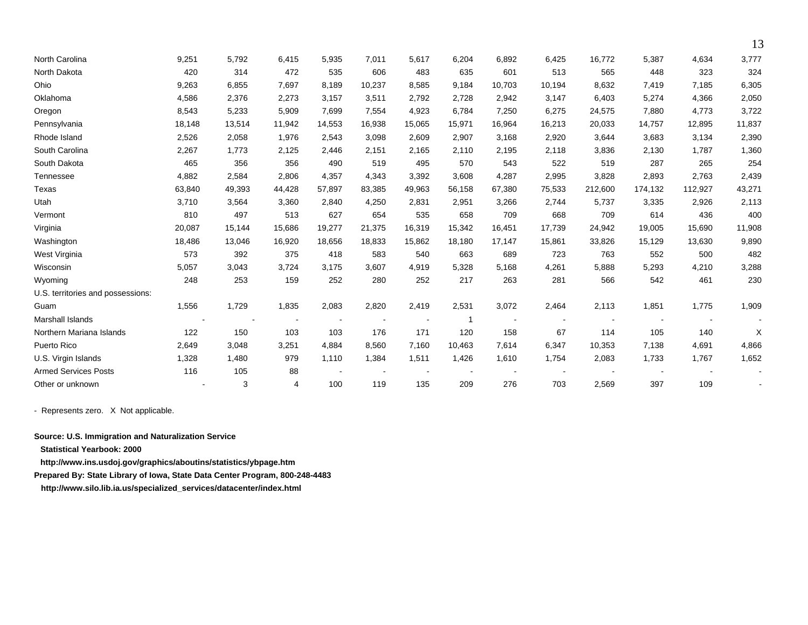| North Carolina                    | 9,251  | 5,792  | 6,415  | 5,935          | 7,011  | 5,617          | 6,204  | 6,892  | 6,425  | 16,772  | 5,387   | 4,634   | 3,777  |
|-----------------------------------|--------|--------|--------|----------------|--------|----------------|--------|--------|--------|---------|---------|---------|--------|
| North Dakota                      | 420    | 314    | 472    | 535            | 606    | 483            | 635    | 601    | 513    | 565     | 448     | 323     | 324    |
| Ohio                              | 9,263  | 6,855  | 7.697  | 8,189          | 10,237 | 8,585          | 9.184  | 10.703 | 10,194 | 8,632   | 7,419   | 7,185   | 6,305  |
| Oklahoma                          | 4,586  | 2,376  | 2,273  | 3,157          | 3,511  | 2,792          | 2,728  | 2,942  | 3,147  | 6,403   | 5,274   | 4,366   | 2,050  |
| Oregon                            | 8,543  | 5,233  | 5,909  | 7,699          | 7,554  | 4,923          | 6,784  | 7,250  | 6,275  | 24,575  | 7,880   | 4,773   | 3,722  |
| Pennsylvania                      | 18,148 | 13,514 | 11,942 | 14,553         | 16,938 | 15,065         | 15,971 | 16,964 | 16,213 | 20,033  | 14,757  | 12,895  | 11,837 |
| Rhode Island                      | 2,526  | 2,058  | 1,976  | 2,543          | 3,098  | 2,609          | 2,907  | 3,168  | 2,920  | 3,644   | 3,683   | 3,134   | 2,390  |
| South Carolina                    | 2,267  | 1,773  | 2,125  | 2,446          | 2,151  | 2,165          | 2,110  | 2,195  | 2,118  | 3,836   | 2,130   | 1,787   | 1,360  |
| South Dakota                      | 465    | 356    | 356    | 490            | 519    | 495            | 570    | 543    | 522    | 519     | 287     | 265     | 254    |
| Tennessee                         | 4,882  | 2,584  | 2,806  | 4,357          | 4,343  | 3,392          | 3,608  | 4,287  | 2,995  | 3,828   | 2,893   | 2,763   | 2,439  |
| Texas                             | 63,840 | 49,393 | 44.428 | 57,897         | 83,385 | 49,963         | 56,158 | 67,380 | 75,533 | 212,600 | 174,132 | 112,927 | 43,271 |
| Utah                              | 3,710  | 3,564  | 3,360  | 2,840          | 4,250  | 2,831          | 2,951  | 3,266  | 2,744  | 5,737   | 3,335   | 2,926   | 2,113  |
| Vermont                           | 810    | 497    | 513    | 627            | 654    | 535            | 658    | 709    | 668    | 709     | 614     | 436     | 400    |
| Virginia                          | 20,087 | 15,144 | 15,686 | 19,277         | 21,375 | 16,319         | 15,342 | 16,451 | 17,739 | 24,942  | 19,005  | 15,690  | 11,908 |
| Washington                        | 18,486 | 13,046 | 16,920 | 18,656         | 18,833 | 15,862         | 18,180 | 17,147 | 15,861 | 33,826  | 15,129  | 13,630  | 9,890  |
| West Virginia                     | 573    | 392    | 375    | 418            | 583    | 540            | 663    | 689    | 723    | 763     | 552     | 500     | 482    |
| Wisconsin                         | 5,057  | 3,043  | 3,724  | 3,175          | 3,607  | 4,919          | 5,328  | 5,168  | 4,261  | 5,888   | 5,293   | 4,210   | 3,288  |
| Wyoming                           | 248    | 253    | 159    | 252            | 280    | 252            | 217    | 263    | 281    | 566     | 542     | 461     | 230    |
| U.S. territories and possessions: |        |        |        |                |        |                |        |        |        |         |         |         |        |
| Guam                              | 1,556  | 1,729  | 1,835  | 2,083          | 2,820  | 2,419          | 2,531  | 3,072  | 2,464  | 2,113   | 1,851   | 1,775   | 1,909  |
| <b>Marshall Islands</b>           |        |        |        | $\blacksquare$ |        | $\blacksquare$ | -1     |        |        |         |         |         |        |
| Northern Mariana Islands          | 122    | 150    | 103    | 103            | 176    | 171            | 120    | 158    | 67     | 114     | 105     | 140     | X      |
| Puerto Rico                       | 2,649  | 3,048  | 3,251  | 4,884          | 8,560  | 7.160          | 10,463 | 7,614  | 6,347  | 10,353  | 7,138   | 4,691   | 4,866  |
| U.S. Virgin Islands               | 1,328  | 1,480  | 979    | 1,110          | 1,384  | 1,511          | 1,426  | 1,610  | 1,754  | 2,083   | 1,733   | 1,767   | 1,652  |
| <b>Armed Services Posts</b>       | 116    | 105    | 88     |                |        |                |        |        |        |         |         |         |        |
| Other or unknown                  |        | 3      | 4      | 100            | 119    | 135            | 209    | 276    | 703    | 2,569   | 397     | 109     |        |

13

- Represents zero. X Not applicable.

**Source: U.S. Immigration and Naturalization Service** 

**Statistical Yearbook: 2000** 

**http://www.ins.usdoj.gov/graphics/aboutins/statistics/ybpage.htm** 

**Prepared By: State Library of Iowa, State Data Center Program, 800-248-4483** 

 **http://www.silo.lib.ia.us/specialized\_services/datacenter/index.html**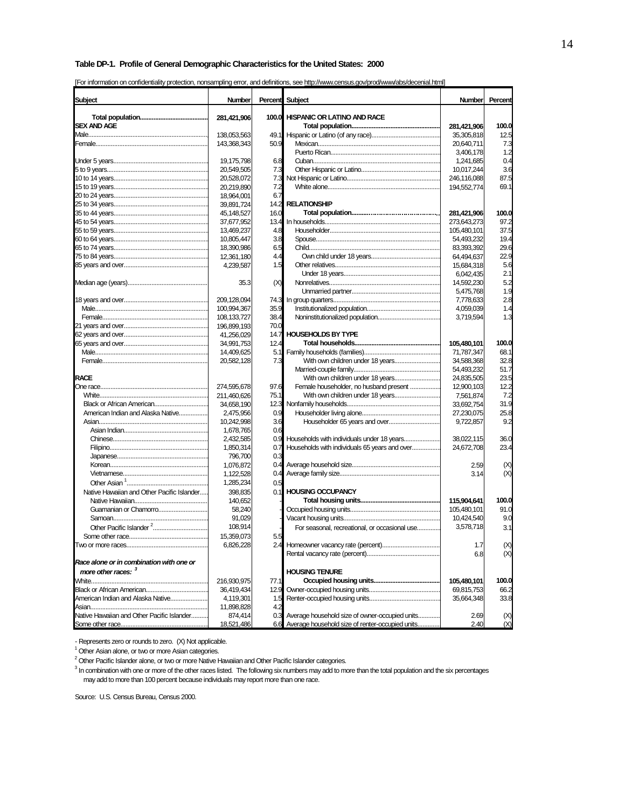#### **Table DP-1. Profile of General Demographic Characteristics for the United States: 2000**

| [For information on confidentiality protection, nonsampling error, and definitions, see http://www.census.gov/prod/www/abs/decenial.html |  |  |  |  |  |
|------------------------------------------------------------------------------------------------------------------------------------------|--|--|--|--|--|
|                                                                                                                                          |  |  |  |  |  |

| Subject                                                        | <b>Number</b>           | Percent    | Subject                                             | <b>Number</b>             | Percent     |
|----------------------------------------------------------------|-------------------------|------------|-----------------------------------------------------|---------------------------|-------------|
|                                                                |                         | 100.0      | <b>HISPANIC OR LATINO AND RACE</b>                  |                           |             |
| <b>SEX AND AGE</b>                                             | 281,421,906             |            |                                                     | 281,421,906               | 100.0       |
|                                                                | 138,053,563             | 49.1       |                                                     | 35,305,818                | 12.5        |
|                                                                | 143,368,343             | 50.9       |                                                     | 20,640,711                | 7.3         |
|                                                                |                         |            |                                                     | 3,406,178                 | 1.2         |
|                                                                | 19,175,798              | 6.8        |                                                     | 1,241,685                 | 0.4         |
|                                                                | 20,549,505              | 7.3        |                                                     | 10,017,244                | 3.6         |
|                                                                | 20,528,072              | 7.3        |                                                     | 246,116,088               | 87.5        |
|                                                                | 20,219,890              | 7.2        |                                                     | 194,552,774               | 69.1        |
|                                                                | 18,964,001              | 6.7        |                                                     |                           |             |
|                                                                | 39,891,724              | 14.2       | <b>RELATIONSHIP</b>                                 |                           |             |
|                                                                | 45,148,527              | 16.0       |                                                     | 281,421,906               | 100.0       |
|                                                                | 37,677,952              | 13.4       |                                                     | 273,643,273               | 97.2        |
|                                                                | 13,469,237              | 4.8        |                                                     | 105,480,101               | 37.5        |
|                                                                | 10,805,447              | 3.8        |                                                     | 54,493,232                | 19.4        |
|                                                                | 18,390,986              | 6.5        |                                                     | 83,393,392                | 29.6        |
|                                                                | 12,361,180              | 4.4        |                                                     | 64,494,637                | 22.9        |
|                                                                | 4,239,587               | 1.5        |                                                     | 15,684,318                | 5.6         |
|                                                                |                         |            |                                                     | 6,042,435                 | 2.1         |
|                                                                | 35.3                    | (X)        |                                                     | 14,592,230                | 5.2         |
|                                                                |                         |            |                                                     | 5,475,768                 | 1.9         |
|                                                                | 209,128,094             | 74.3       |                                                     | 7,778,633                 | 2.8         |
|                                                                | 100,994,367             | 35.9       |                                                     | 4.059.039                 | 1.4         |
|                                                                | 108.133.727             | 38.4       |                                                     | 3,719,594                 | 1.3         |
|                                                                | 196,899,193             | 70.0       |                                                     |                           |             |
|                                                                | 41.256.029              | 14.7       | <b>HOUSEHOLDS BY TYPE</b>                           |                           |             |
|                                                                | 34,991,753              | 12.4       |                                                     | 105,480,101               | 100.0       |
|                                                                | 14,409,625              | 5.1        |                                                     | 71,787,347                | 68.1        |
|                                                                | 20,582,128              | 7.3        |                                                     | 34,588,368                | 32.8        |
|                                                                |                         |            |                                                     | 54,493,232                | 51.7        |
| <b>RACE</b>                                                    |                         |            |                                                     | 24,835,505                | 23.5        |
|                                                                | 274,595,678             | 97.6       | Female householder, no husband present              | 12,900,103                | 12.2        |
|                                                                | 211,460,626             | 75.1       |                                                     | 7,561,874                 | 7.2         |
| Black or African American<br>American Indian and Alaska Native | 34,658,190              | 12.3       |                                                     | 33,692,754                | 31.9        |
|                                                                | 2,475,956               | 0.9<br>3.6 |                                                     | 27,230,075                | 25.8<br>9.2 |
|                                                                | 10,242,998<br>1,678,765 | 0.6        |                                                     | 9,722,857                 |             |
|                                                                | 2,432,585               | 0.9        |                                                     | 38,022,115                | 36.0        |
|                                                                | 1,850,314               | 0.7        | Households with individuals 65 years and over       | 24,672,708                | 23.4        |
|                                                                | 796,700                 | 0.3        |                                                     |                           |             |
|                                                                | 1,076,872               | 0.4        |                                                     | 2.59                      | (X)         |
|                                                                | 1,122,528               | 0.4        |                                                     | 3.14                      | (X)         |
|                                                                | 1,285,234               | 0.5        |                                                     |                           |             |
| Native Hawaiian and Other Pacific Islander                     | 398,835                 | 0.1        | <b>HOUSING OCCUPANCY</b>                            |                           |             |
|                                                                | 140,652                 |            |                                                     | 115.904.641               | 100.0       |
| Guamanian or Chamorro                                          | 58,240                  |            |                                                     | 105,480,101               | 91.0        |
|                                                                | 91,029                  |            |                                                     | 10.424.540                | 9.0         |
|                                                                | 108,914                 |            | For seasonal, recreational, or occasional use       | 3,578,718                 | 3.1         |
|                                                                | 15,359,073              | 5.5        |                                                     |                           |             |
|                                                                | 6,826,228               |            |                                                     | 1.1                       |             |
| Race alone or in combination with one or                       |                         |            |                                                     | 6.8                       | (X)<br>(X)  |
| more other races: 3                                            |                         |            | <b>HOUSING TENURE</b>                               |                           |             |
|                                                                | 216,930,975             | 77.1       |                                                     |                           | 100.0       |
|                                                                | 36,419,434              | 12.9       |                                                     | 105,480,101<br>69,815,753 | 66.2        |
| American Indian and Alaska Native                              | 4,119,301               | 1.5        |                                                     | 35,664,348                | 33.8        |
|                                                                | 11,898,828              | 4.2        |                                                     |                           |             |
| Native Hawaiian and Other Pacific Islander                     | 874,414                 | 0.3        | Average household size of owner-occupied units      | 2.69                      | (X)         |
|                                                                | 18,521,486              |            | 6.6 Average household size of renter-occupied units | 2.40                      | (X)         |

- Represents zero or rounds to zero. (X) Not applicable.<br><sup>1</sup> Other Asian alone, or two or more Asian categories.

<sup>2</sup> Other Pacific Islander alone, or two or more Native Hawaiian and Other Pacific Islander categories.

<sup>3</sup> In combination with one or more of the other races listed. The following six numbers may add to more than the total population and the six percentages may add to more than 100 percent because individuals may report more than one race.

Source: U.S. Census Bureau, Census 2000.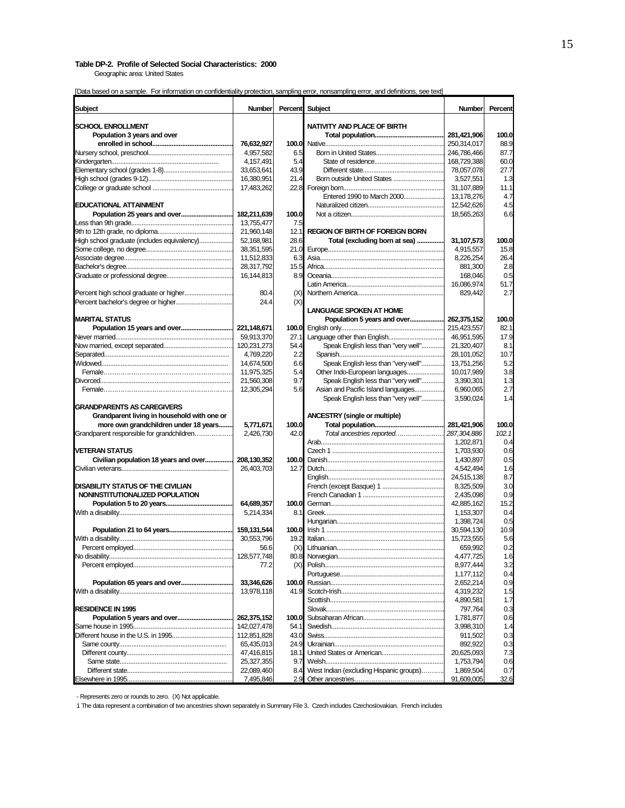#### **Table DP-2. Profile of Selected Social Characteristics: 2000**

Geographic area: United States

| Subject                                     | <b>Number</b> | Percent | Subject                                 | <b>Number</b> | Percent |
|---------------------------------------------|---------------|---------|-----------------------------------------|---------------|---------|
| <b>SCHOOL ENROLLMENT</b>                    |               |         | NATIVITY AND PLACE OF BIRTH             |               |         |
| Population 3 years and over                 |               |         |                                         | 281,421,906   | 100.0   |
|                                             | 76,632,927    | 100.0   |                                         | 250,314,017   | 88.9    |
|                                             | 4.957.582     | 6.5     |                                         | 246,786,466   | 87.7    |
|                                             | 4,157,491     | 5.4     |                                         | 168,729,388   | 60.0    |
|                                             | 33,653,641    | 43.9    |                                         | 78,057,078    | 27.7    |
|                                             | 16,380,951    | 21.4    | Born outside United States              | 3,527,551     | 1.3     |
|                                             | 17,483,262    | 22.8    |                                         | 31,107,889    | 11.1    |
|                                             |               |         | Entered 1990 to March 2000              | 13,178,276    | 4.7     |
| <b>EDUCATIONAL ATTAINMENT</b>               |               |         |                                         | 12,542,626    | 4.5     |
| Population 25 years and over                |               | 100.0   |                                         | 18,565,263    | 6.6     |
|                                             | 182,211,639   |         |                                         |               |         |
|                                             | 13,755,477    | 7.5     |                                         |               |         |
|                                             | 21,960,148    | 12.1    | <b>REGION OF BIRTH OF FOREIGN BORN</b>  |               |         |
| High school graduate (includes equivalency) | 52.168.981    | 28.6    | Total (excluding born at sea)           | 31,107,573    | 100.0   |
|                                             | 38,351,595    | 21.0    |                                         | 4,915,557     | 15.8    |
|                                             | 11,512,833    | 6.3     |                                         | 8,226,254     | 26.4    |
|                                             | 28,317,792    | 15.5    |                                         | 881,300       | 2.8     |
|                                             | 16,144,813    | 8.9     |                                         | 168,046       | 0.5     |
|                                             |               |         |                                         | 16,086,974    | 51.7    |
|                                             | 80.4          | (X)     |                                         | 829,442       | 2.7     |
|                                             | 24.4          | (X)     |                                         |               |         |
|                                             |               |         | <b>LANGUAGE SPOKEN AT HOME</b>          |               |         |
| <b>MARITAL STATUS</b>                       |               |         | Population 5 years and over             | 262,375,152   | 100.0   |
| Population 15 years and over                | 221,148,671   | 100.0   |                                         | 215,423,557   | 82.1    |
|                                             | 59,913,370    | 27.1    |                                         | 46,951,595    | 17.9    |
|                                             | 120,231,273   | 54.4    | Speak English less than "very well"     | 21,320,407    | 8.1     |
|                                             | 4,769,220     | 2.2     |                                         | 28,101,052    | 10.7    |
|                                             | 14,674,500    | 6.6     | Speak English less than "very well"     | 13,751,256    | 5.2     |
|                                             | 11,975,325    | 5.4     | Other Indo-European languages           | 10,017,989    | 3.8     |
|                                             | 21,560,308    | 9.7     | Speak English less than "very well"     | 3,390,301     | 1.3     |
|                                             | 12,305,294    | 5.6     | Asian and Pacific Island languages      | 6,960,065     | 2.7     |
|                                             |               |         | Speak English less than "very well"     | 3,590,024     | 1.4     |
| <b>GRANDPARENTS AS CAREGIVERS</b>           |               |         |                                         |               |         |
| Grandparent living in household with one or |               |         | <b>ANCESTRY</b> (single or multiple)    |               |         |
|                                             |               | 100.0   |                                         |               |         |
| more own grandchildren under 18 years       | 5,771,671     | 42.0    |                                         | 281,421,906   | 100.0   |
| Grandparent responsible for grandchildren   | 2,426,730     |         | Total ancestries reported               | 287,304,886   | 102.1   |
|                                             |               |         |                                         | 1,202,871     | 0.4     |
| VETERAN STATUS                              |               |         |                                         | 1,703,930     | 0.6     |
| Civilian population 18 years and over       | 208,130,352   | 100.0   |                                         | 1,430,897     | 0.5     |
|                                             | 26,403,703    | 12.7    |                                         | 4,542,494     | 1.6     |
|                                             |               |         |                                         | 24,515,138    | 8.7     |
| <b>DISABILITY STATUS OF THE CIVILIAN</b>    |               |         |                                         | 8,325,509     | 3.0     |
| NONINSTITUTIONALIZED POPULATION             |               |         |                                         | 2,435,098     | 0.9     |
|                                             | 64,689,357    | 100.0   |                                         | 42.885.162    | 15.2    |
|                                             | 5,214,334     | 8.1     |                                         | 1.153.307     | 0.4     |
|                                             |               |         |                                         | 1.398.724     | 0.5     |
|                                             | 159,131,544   | 100.0   |                                         | 30,594,130    | 10.9    |
|                                             | 30,553,796    | 19.2    |                                         | 15,723,555    | 5.6     |
|                                             | 56.6          | (X)     |                                         | 659.992       | 0.2     |
|                                             | 128,577,748   |         |                                         | 4,477,725     | 1.6     |
|                                             | 77.2          | (X)     |                                         | 8,977,444     | 3.2     |
|                                             |               |         |                                         | 1,177,112     | 0.4     |
| Population 65 years and over                | 33,346,626    | 100.0   |                                         | 2,652,214     | 0.9     |
|                                             | 13,978,118    | 41.9    |                                         | 4,319,232     | 1.5     |
|                                             |               |         |                                         | 4,890,581     | 1.7     |
| <b>RESIDENCE IN 1995</b>                    |               |         |                                         | 797,764       | 0.3     |
| Population 5 years and over                 | 262,375,152   | 100.0   |                                         | 1,781,877     | 0.6     |
|                                             | 142,027,478   | 54.1    |                                         | 3,998,310     | 1.4     |
|                                             |               | 43.0    |                                         |               |         |
|                                             | 112,851,828   |         |                                         | 911,502       | 0.3     |
|                                             | 65,435,013    | 24.9    |                                         | 892,922       | 0.3     |
|                                             | 47,416,815    | 18.1    |                                         | 20,625,093    | 7.3     |
|                                             | 25,327,355    | 9.7     |                                         | 1,753,794     | 0.6     |
|                                             | 22,089,460    | 8.4     | West Indian (excluding Hispanic groups) | 1,869,504     | 0.7     |
| Elsewhere in 1995                           | 7,495,846     | 2.9     |                                         | 91,609,005    | 32.6    |

- Represents zero or rounds to zero. (X) Not applicable.

1 The data represent a combination of two ancestries shown separately in Summary File 3. Czech includes Czechoslovakian. French includes